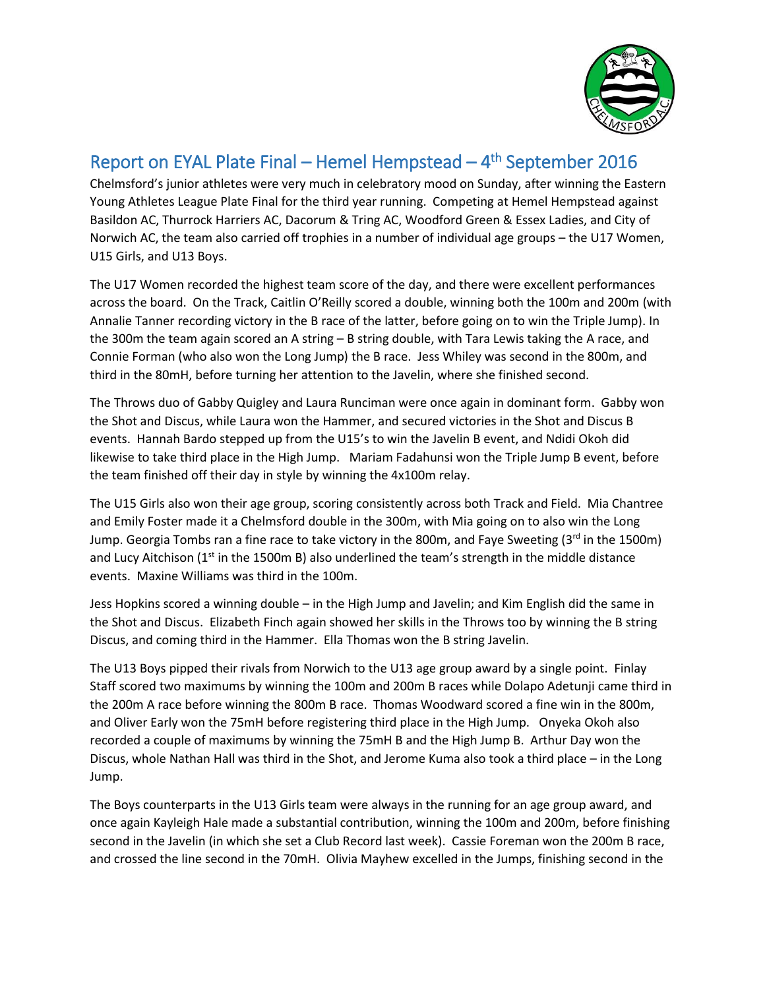

## Report on EYAL Plate Final – Hemel Hempstead – 4<sup>th</sup> September 2016

Chelmsford's junior athletes were very much in celebratory mood on Sunday, after winning the Eastern Young Athletes League Plate Final for the third year running. Competing at Hemel Hempstead against Basildon AC, Thurrock Harriers AC, Dacorum & Tring AC, Woodford Green & Essex Ladies, and City of Norwich AC, the team also carried off trophies in a number of individual age groups – the U17 Women, U15 Girls, and U13 Boys.

The U17 Women recorded the highest team score of the day, and there were excellent performances across the board. On the Track, Caitlin O'Reilly scored a double, winning both the 100m and 200m (with Annalie Tanner recording victory in the B race of the latter, before going on to win the Triple Jump). In the 300m the team again scored an A string – B string double, with Tara Lewis taking the A race, and Connie Forman (who also won the Long Jump) the B race. Jess Whiley was second in the 800m, and third in the 80mH, before turning her attention to the Javelin, where she finished second.

The Throws duo of Gabby Quigley and Laura Runciman were once again in dominant form. Gabby won the Shot and Discus, while Laura won the Hammer, and secured victories in the Shot and Discus B events. Hannah Bardo stepped up from the U15's to win the Javelin B event, and Ndidi Okoh did likewise to take third place in the High Jump. Mariam Fadahunsi won the Triple Jump B event, before the team finished off their day in style by winning the 4x100m relay.

The U15 Girls also won their age group, scoring consistently across both Track and Field. Mia Chantree and Emily Foster made it a Chelmsford double in the 300m, with Mia going on to also win the Long Jump. Georgia Tombs ran a fine race to take victory in the 800m, and Faye Sweeting ( $3<sup>rd</sup>$  in the 1500m) and Lucy Aitchison ( $1<sup>st</sup>$  in the 1500m B) also underlined the team's strength in the middle distance events. Maxine Williams was third in the 100m.

Jess Hopkins scored a winning double – in the High Jump and Javelin; and Kim English did the same in the Shot and Discus. Elizabeth Finch again showed her skills in the Throws too by winning the B string Discus, and coming third in the Hammer. Ella Thomas won the B string Javelin.

The U13 Boys pipped their rivals from Norwich to the U13 age group award by a single point. Finlay Staff scored two maximums by winning the 100m and 200m B races while Dolapo Adetunji came third in the 200m A race before winning the 800m B race. Thomas Woodward scored a fine win in the 800m, and Oliver Early won the 75mH before registering third place in the High Jump. Onyeka Okoh also recorded a couple of maximums by winning the 75mH B and the High Jump B. Arthur Day won the Discus, whole Nathan Hall was third in the Shot, and Jerome Kuma also took a third place – in the Long Jump.

The Boys counterparts in the U13 Girls team were always in the running for an age group award, and once again Kayleigh Hale made a substantial contribution, winning the 100m and 200m, before finishing second in the Javelin (in which she set a Club Record last week). Cassie Foreman won the 200m B race, and crossed the line second in the 70mH. Olivia Mayhew excelled in the Jumps, finishing second in the